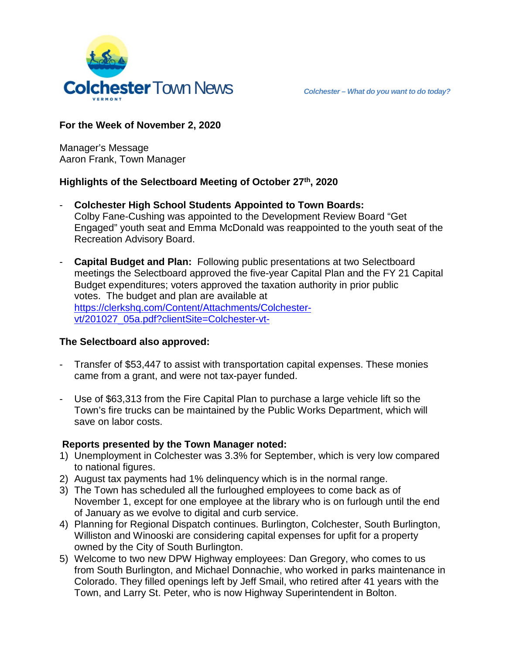

**For the Week of November 2, 2020**

Manager's Message Aaron Frank, Town Manager

# **Highlights of the Selectboard Meeting of October 27th, 2020**

- **Colchester High School Students Appointed to Town Boards:** Colby Fane-Cushing was appointed to the Development Review Board "Get Engaged" youth seat and Emma McDonald was reappointed to the youth seat of the Recreation Advisory Board.
- **Capital Budget and Plan:** Following public presentations at two Selectboard meetings the Selectboard approved the five-year Capital Plan and the FY 21 Capital Budget expenditures; voters approved the taxation authority in prior public votes. The budget and plan are available at [https://clerkshq.com/Content/Attachments/Colchester](https://clerkshq.com/Content/Attachments/Colchester-vt/201027_05a.pdf?clientSite=Colchester-vt-)[vt/201027\\_05a.pdf?clientSite=Colchester-vt-](https://clerkshq.com/Content/Attachments/Colchester-vt/201027_05a.pdf?clientSite=Colchester-vt-)

# **The Selectboard also approved:**

- Transfer of \$53,447 to assist with transportation capital expenses. These monies came from a grant, and were not tax-payer funded.
- Use of \$63,313 from the Fire Capital Plan to purchase a large vehicle lift so the Town's fire trucks can be maintained by the Public Works Department, which will save on labor costs.

# **Reports presented by the Town Manager noted:**

- 1) Unemployment in Colchester was 3.3% for September, which is very low compared to national figures.
- 2) August tax payments had 1% delinquency which is in the normal range.
- 3) The Town has scheduled all the furloughed employees to come back as of November 1, except for one employee at the library who is on furlough until the end of January as we evolve to digital and curb service.
- 4) Planning for Regional Dispatch continues. Burlington, Colchester, South Burlington, Williston and Winooski are considering capital expenses for upfit for a property owned by the City of South Burlington.
- 5) Welcome to two new DPW Highway employees: Dan Gregory, who comes to us from South Burlington, and Michael Donnachie, who worked in parks maintenance in Colorado. They filled openings left by Jeff Smail, who retired after 41 years with the Town, and Larry St. Peter, who is now Highway Superintendent in Bolton.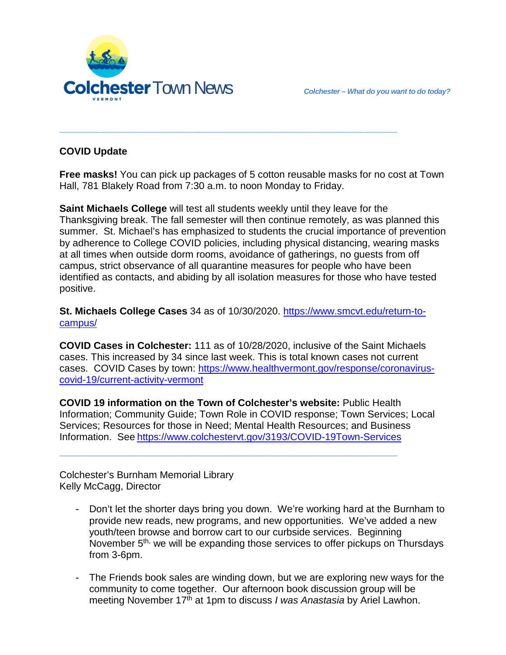

# **COVID Update**

**Free masks!** You can pick up packages of 5 cotton reusable masks for no cost at Town Hall, 781 Blakely Road from 7:30 a.m. to noon Monday to Friday.

**\_\_\_\_\_\_\_\_\_\_\_\_\_\_\_\_\_\_\_\_\_\_\_\_\_\_\_\_\_\_\_\_\_\_\_\_\_\_\_\_\_\_\_\_\_\_**

**Saint Michaels College** will test all students weekly until they leave for the Thanksgiving break. The fall semester will then continue remotely, as was planned this summer. St. Michael's has emphasized to students the crucial importance of prevention by adherence to College COVID policies, including physical distancing, wearing masks at all times when outside dorm rooms, avoidance of gatherings, no guests from off campus, strict observance of all quarantine measures for people who have been identified as contacts, and abiding by all isolation measures for those who have tested positive.

**St. Michaels College Cases** 34 as of 10/30/2020. [https://www.smcvt.edu/return-to](https://www.smcvt.edu/return-to-campus/)[campus/](https://www.smcvt.edu/return-to-campus/)

**COVID Cases in Colchester:** 111 as of 10/28/2020, inclusive of the Saint Michaels cases. This increased by 34 since last week. This is total known cases not current cases. COVID Cases by town: [https://www.healthvermont.gov/response/coronavirus](https://www.healthvermont.gov/response/coronavirus-covid-19/current-activity-vermont)[covid-19/current-activity-vermont](https://www.healthvermont.gov/response/coronavirus-covid-19/current-activity-vermont)

**COVID 19 information on the Town of Colchester's website:** Public Health Information; Community Guide; Town Role in COVID response; Town Services; Local Services; Resources for those in Need; Mental Health Resources; and Business Information. See <https://www.colchestervt.gov/3193/COVID-19Town-Services>

**\_\_\_\_\_\_\_\_\_\_\_\_\_\_\_\_\_\_\_\_\_\_\_\_\_\_\_\_\_\_\_\_\_\_\_\_\_\_\_\_\_\_\_\_\_\_**

Colchester's Burnham Memorial Library Kelly McCagg, Director

- Don't let the shorter days bring you down. We're working hard at the Burnham to provide new reads, new programs, and new opportunities. We've added a new youth/teen browse and borrow cart to our curbside services. Beginning November 5<sup>th,</sup> we will be expanding those services to offer pickups on Thursdays from 3-6pm.
- The Friends book sales are winding down, but we are exploring new ways for the community to come together. Our afternoon book discussion group will be meeting November 17<sup>th</sup> at 1pm to discuss *I was Anastasia* by Ariel Lawhon.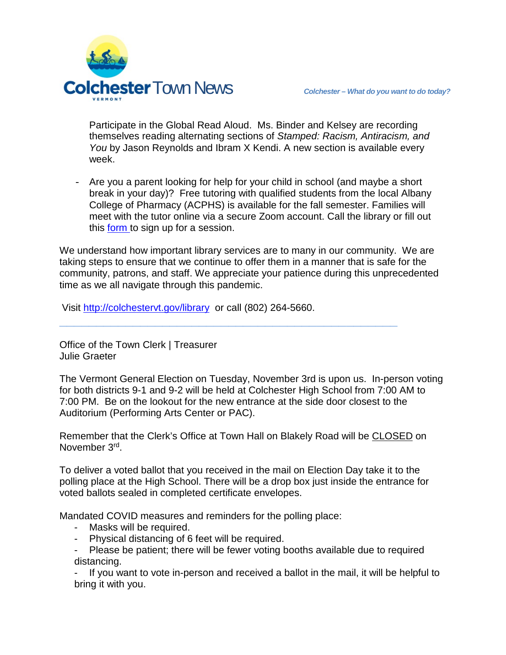

Participate in the Global Read Aloud. Ms. Binder and Kelsey are recording themselves reading alternating sections of *Stamped: Racism, Antiracism, and You* by Jason Reynolds and Ibram X Kendi. A new section is available every week.

- Are you a parent looking for help for your child in school (and maybe a short break in your day)? Free tutoring with qualified students from the local Albany College of Pharmacy (ACPHS) is available for the fall semester. Families will meet with the tutor online via a secure Zoom account. Call the library or fill out this [form](https://forms.gle/kA63W3LW316zEqxy6) to sign up for a session.

We understand how important library services are to many in our community. We are taking steps to ensure that we continue to offer them in a manner that is safe for the community, patrons, and staff. We appreciate your patience during this unprecedented time as we all navigate through this pandemic.

**\_\_\_\_\_\_\_\_\_\_\_\_\_\_\_\_\_\_\_\_\_\_\_\_\_\_\_\_\_\_\_\_\_\_\_\_\_\_\_\_\_\_\_\_\_\_**

Visit<http://colchestervt.gov/library> or call (802) 264-5660.

Office of the Town Clerk | Treasurer Julie Graeter

The Vermont General Election on Tuesday, November 3rd is upon us. In-person voting for both districts 9-1 and 9-2 will be held at Colchester High School from 7:00 AM to 7:00 PM. Be on the lookout for the new entrance at the side door closest to the Auditorium (Performing Arts Center or PAC).

Remember that the Clerk's Office at Town Hall on Blakely Road will be CLOSED on November 3rd.

To deliver a voted ballot that you received in the mail on Election Day take it to the polling place at the High School. There will be a drop box just inside the entrance for voted ballots sealed in completed certificate envelopes.

Mandated COVID measures and reminders for the polling place:

- Masks will be required.
- Physical distancing of 6 feet will be required.
- Please be patient; there will be fewer voting booths available due to required distancing.

If you want to vote in-person and received a ballot in the mail, it will be helpful to bring it with you.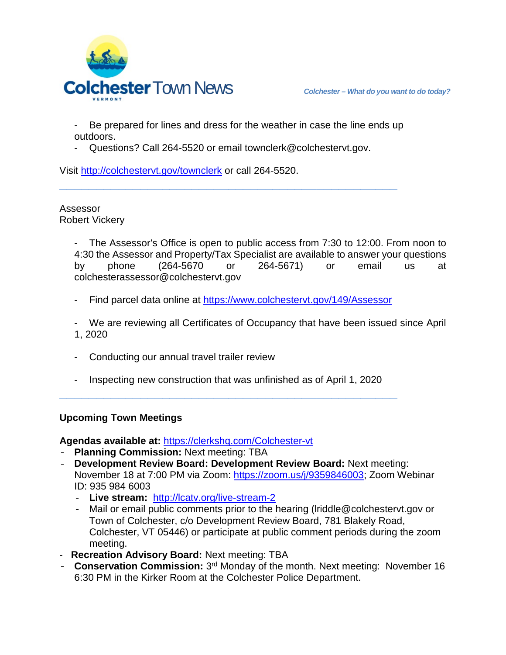

- Be prepared for lines and dress for the weather in case the line ends up outdoors.
- Questions? Call 264-5520 or email townclerk@colchestervt.gov.

**\_\_\_\_\_\_\_\_\_\_\_\_\_\_\_\_\_\_\_\_\_\_\_\_\_\_\_\_\_\_\_\_\_\_\_\_\_\_\_\_\_\_\_\_\_\_**

Visit <http://colchestervt.gov/townclerk> or call 264-5520.

Assessor Robert Vickery

> - The Assessor's Office is open to public access from 7:30 to 12:00. From noon to 4:30 the Assessor and Property/Tax Specialist are available to answer your questions by phone (264-5670 or 264-5671) or email us at colchesterassessor@colchestervt.gov

- Find parcel data online at <https://www.colchestervt.gov/149/Assessor>
- We are reviewing all Certificates of Occupancy that have been issued since April 1, 2020
- Conducting our annual travel trailer review
- Inspecting new construction that was unfinished as of April 1, 2020 **\_\_\_\_\_\_\_\_\_\_\_\_\_\_\_\_\_\_\_\_\_\_\_\_\_\_\_\_\_\_\_\_\_\_\_\_\_\_\_\_\_\_\_\_\_\_**

## **Upcoming Town Meetings**

**Agendas available at:** <https://clerkshq.com/Colchester-vt>

- **Planning Commission:** Next meeting: TBA
- **Development Review Board: Development Review Board:** Next meeting: November 18 at 7:00 PM via Zoom: [https://zoom.us/j/9359846003;](https://zoom.us/j/9359846003) Zoom Webinar ID: 935 984 6003
	- **Live stream:** <http://lcatv.org/live-stream-2>
	- Mail or email public comments prior to the hearing (lriddle@colchestervt.gov or Town of Colchester, c/o Development Review Board, 781 Blakely Road, Colchester, VT 05446) or participate at public comment periods during the zoom meeting.
- **Recreation Advisory Board:** Next meeting: TBA
- **Conservation Commission:** 3rd Monday of the month. Next meeting: November 16 6:30 PM in the Kirker Room at the Colchester Police Department.